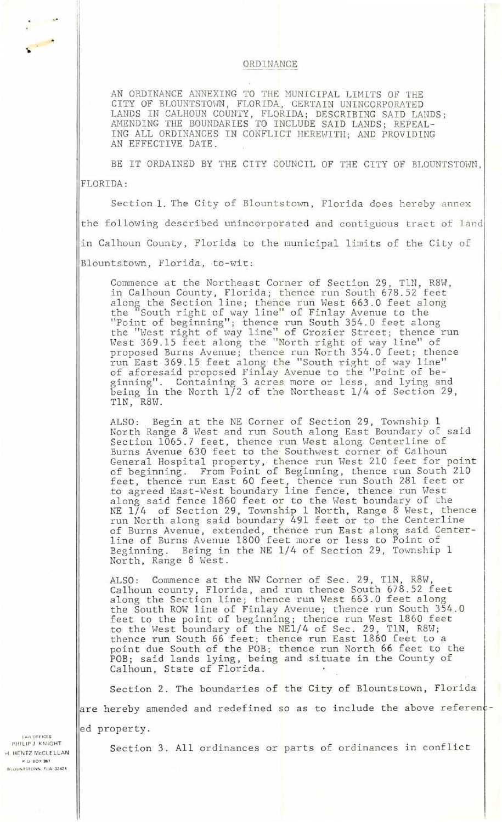## ORDINANCE

AN ORDINANCE ANNEXING TO THE MUNICIPAL LIMITS OF THE CITY OF BLOUNTSTOWN, FLORIDA, CERTAIN UNINCORPORATED LANDS IN CALHOUN COUNTY, FLORIDA; DESCRIBING SAID LANDS; AMENDING THE BOUNDARIES TO INCLUDE SAID LANDS; REPEAL-ING ALL ORDINANCES IN CONFLICT HEREHITH; AND PROVIDING AN EFFECTIVE DATE.

BE IT ORDAINED BY THE CITY COUNCIL OF THE CITY OF BLOUNTSTOWN, FLORIDA :

Section 1. The City of Blountstown, Florida does hereby annex the following described unincorporated and contiguous tract of land in Calhoun County, Florida to the municipal limits of the City of Blountstown, Florida, to-wit:

Commence at the Northeast Corner of Section 29, TlN, R8W, in Calhoun County, Florida; thence run South 678.52 feet along the Section line; thence run West 663.0 feet along the "South right of way line" of Finlay Avenue to the "Point of beginning"; thence run South 354.0 feet along the "Hest right of way line" of Crozier Street; thence run West 369.15 feet along the "North right of way line" of proposed Burns Avenue; thence run North 354.0 feet; thence run East 369.15 feet along the "South right of way line" of aforesaid proposed Finlay Avenue to the "Point of beginning''. Containing 3 acres more or less, and lying and being in the North 1/2 of the Northeast 1/4 of Section 29, TlN, R8W .

ALSO: Begin at the NE Corner of Section 29, Township 1 North Range 8 West and run South along East Boundary of said Section 1065.7 feet, thence run West along Centerline of Burns Avenue 630 feet to the Southwest corner of Calhoun General Hospital property, thence run West 210 feet for point of beginning. From Point of Beginning, thence run South 210 feet, thence run East 60 feet, thence run South 281 feet or to agreed East-West boundary line fence, thence run West along said fence 1860 feet or to the West boundary of the NE 1/4 of Section 29, Township 1 North, Range 8 West, thence run North along said boundary 491 feet or to the Centerline of Burns Avenue, extended, thence run East along said Center-<br>line of Burns Avenue 1800 feet more or less to Point of<br>Beginning. Being in the NE 1/4 of Section 29, Township 1 Being in the NE  $1/4$  of Section 29, Township 1 North, Range 8 West.

ALSO: Commence at the NW Corner of Sec. 29, TlN, R8W, Calhoun county, Florida, and run thence South 678.52 feet along the Section line; thence run West 663.0 feet along the South ROW line of Finlay Avenue; thence run South 354.0 feet to the point of beginning; thence run West 1860 feet to the West boundary of the NE1/4 of Sec. 29, TlN, R8W; thence run South 66 feet; thence run East 1860 feet to a point due South of the POB; thence run North 66 feet to the POB; said lands lying, being and situate in the County of Calhoun, State of Florida.

Section 2. The boundaries of the City of Blountstown, Florida are hereby amended and redefined so as to include the above referenced property.

**lAo\ () HICES**  PHILIP J KNIGHT rl. HE NTZ McCLELLAN P.O. BOX 367 BLOUNTSTOWN, FLA. 32424

,.

Section 3. All ordinances or parts of ordinances in conflict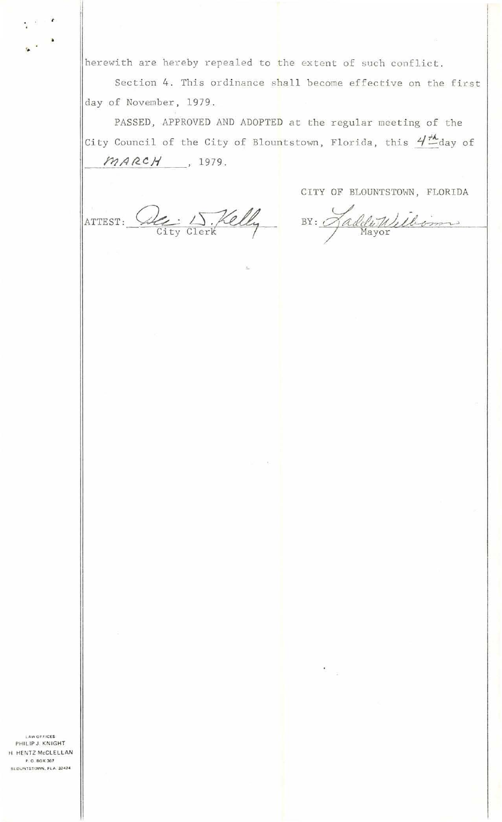herewith are hereby repealed to the extent of such conflict.

Section 4. This ordinance shall become effective on the first day of November, 1979.

PASSED, APPROVED AND ADOPTED at the regular meeting of the City Council of the City of Blountstown, Florida, this  $4\frac{\mu}{-}$ day of  $MARCH$ , 1979.

ATTEST: De 15. Kelly BY: HaddeWilliams

CITY OF BLOUNTSTOWN, FLORIDA

**LAW OFFICES** PHILIP J. KNIGHT H HENTZ McCLELLAN P.O. BOX 367 BLOUNTSTOWN, FLA. 32424

g S